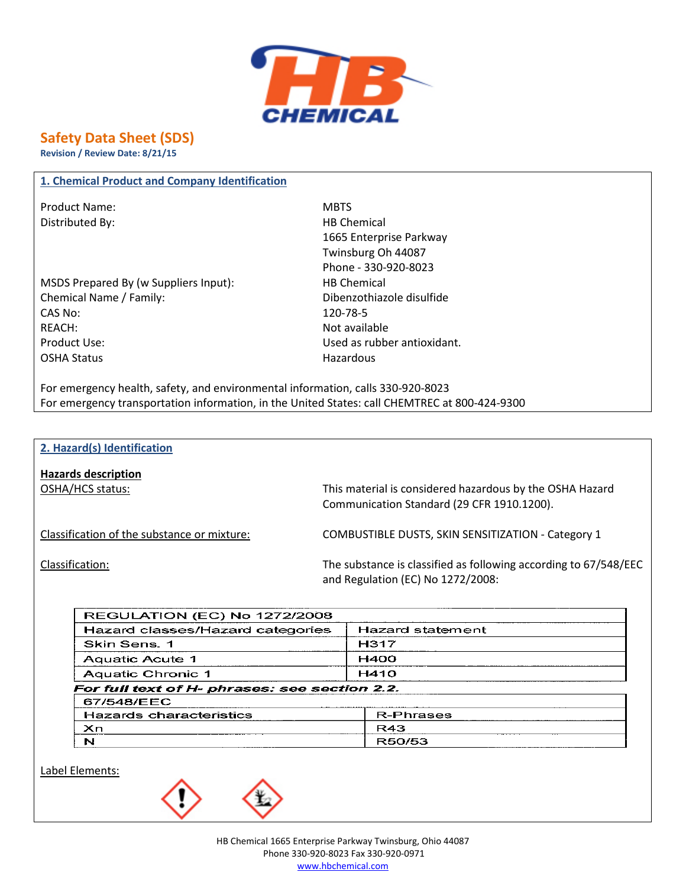

# **Safety Data Sheet (SDS)**

**Revision / Review Date: 8/21/15**

#### **1. Chemical Product and Company Identification**

Product Name: MBTS Distributed By: Notice and the Material HB Chemical HB Chemical

MSDS Prepared By (w Suppliers Input): HB Chemical Chemical Name / Family: Dibenzothiazole disulfide CAS No: 120-78-5 REACH: Not available Product Use: Used as rubber antioxidant. OSHA Status **Hazardous** Hazardous

1665 Enterprise Parkway Twinsburg Oh 44087 Phone - 330-920-8023

For emergency health, safety, and environmental information, calls 330-920-8023 For emergency transportation information, in the United States: call CHEMTREC at 800-424-9300

#### **2. Hazard(s) Identification**

**Hazards description**

OSHA/HCS status: This material is considered hazardous by the OSHA Hazard Communication Standard (29 CFR 1910.1200).

Classification of the substance or mixture: COMBUSTIBLE DUSTS, SKIN SENSITIZATION - Category 1

Classification: The substance is classified as following according to 67/548/EEC and Regulation (EC) No 1272/2008:

| <b>REGULATION (EC) No 1272/2008</b>           |                  |  |
|-----------------------------------------------|------------------|--|
| Hazard classes/Hazard categories              | Hazard statement |  |
| Skin Sens. 1                                  | H317             |  |
| Aquatic Acute 1                               | <b>H400</b>      |  |
| Aquatic Chronic 1                             | H410             |  |
| For full text of H- phrases: see section 2.2. |                  |  |
| 67/548/EEC                                    |                  |  |
| Hazards characteristics                       | <b>R-Phrases</b> |  |
| Xn.                                           | R43              |  |
| N                                             | R50/53           |  |

Label Elements:

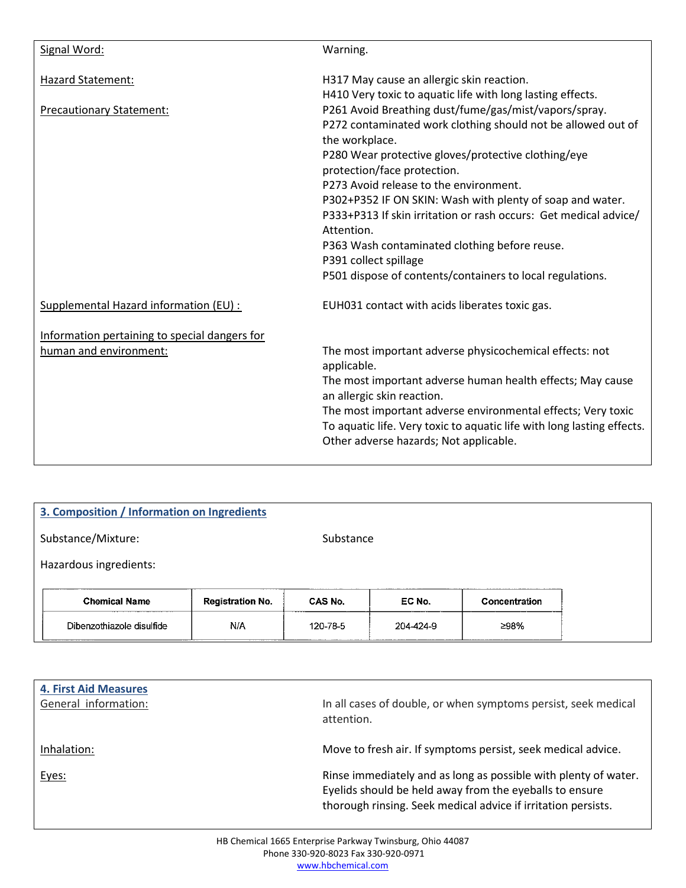| Signal Word:                                  | Warning.                                                                                                                                                                            |
|-----------------------------------------------|-------------------------------------------------------------------------------------------------------------------------------------------------------------------------------------|
| Hazard Statement:                             | H317 May cause an allergic skin reaction.                                                                                                                                           |
| <b>Precautionary Statement:</b>               | H410 Very toxic to aquatic life with long lasting effects.<br>P261 Avoid Breathing dust/fume/gas/mist/vapors/spray.<br>P272 contaminated work clothing should not be allowed out of |
|                                               | the workplace.<br>P280 Wear protective gloves/protective clothing/eye<br>protection/face protection.                                                                                |
|                                               | P273 Avoid release to the environment.                                                                                                                                              |
|                                               | P302+P352 IF ON SKIN: Wash with plenty of soap and water.<br>P333+P313 If skin irritation or rash occurs: Get medical advice/<br>Attention.                                         |
|                                               | P363 Wash contaminated clothing before reuse.<br>P391 collect spillage                                                                                                              |
|                                               | P501 dispose of contents/containers to local regulations.                                                                                                                           |
| Supplemental Hazard information (EU) :        | EUH031 contact with acids liberates toxic gas.                                                                                                                                      |
| Information pertaining to special dangers for |                                                                                                                                                                                     |
| human and environment:                        | The most important adverse physicochemical effects: not<br>applicable.                                                                                                              |
|                                               | The most important adverse human health effects; May cause<br>an allergic skin reaction.                                                                                            |
|                                               | The most important adverse environmental effects; Very toxic<br>To aquatic life. Very toxic to aquatic life with long lasting effects.<br>Other adverse hazards; Not applicable.    |
|                                               |                                                                                                                                                                                     |

| 3. Composition / Information on Ingredients |                         |                |           |               |  |
|---------------------------------------------|-------------------------|----------------|-----------|---------------|--|
| Substance/Mixture:<br>Substance             |                         |                |           |               |  |
| Hazardous ingredients:                      |                         |                |           |               |  |
| <b>Chemical Name</b>                        | <b>Registration No.</b> | <b>CAS No.</b> | EC No.    | Concentration |  |
| Dibenzothiazole disulfide                   | N/A                     | 120-78-5       | 204-424-9 | ≥98%          |  |

| <b>4. First Aid Measures</b><br>General information: | In all cases of double, or when symptoms persist, seek medical<br>attention.                                                                                                                |
|------------------------------------------------------|---------------------------------------------------------------------------------------------------------------------------------------------------------------------------------------------|
| Inhalation:                                          | Move to fresh air. If symptoms persist, seek medical advice.                                                                                                                                |
| Eyes:                                                | Rinse immediately and as long as possible with plenty of water.<br>Eyelids should be held away from the eyeballs to ensure<br>thorough rinsing. Seek medical advice if irritation persists. |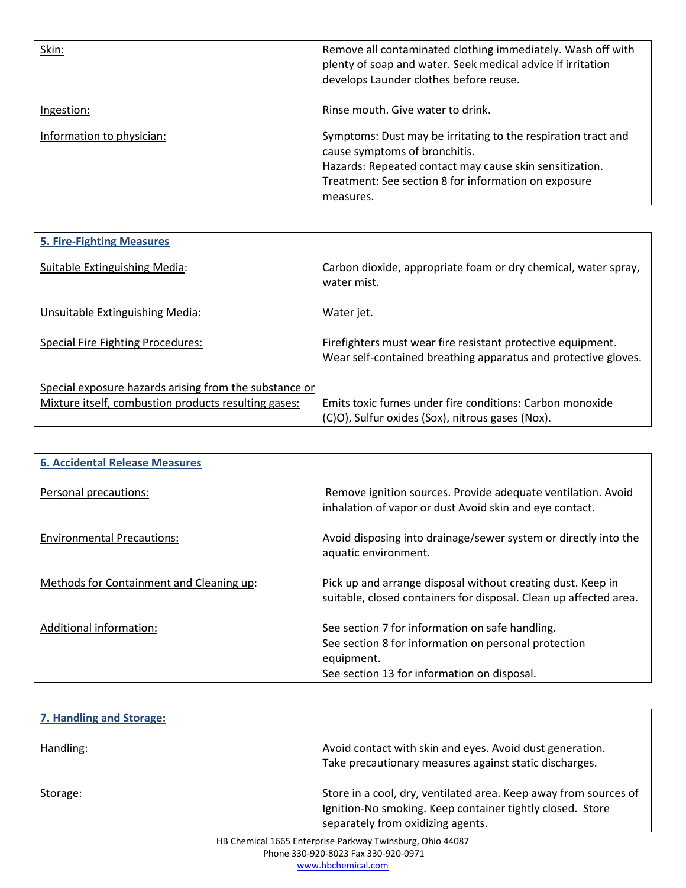| Skin:                     | Remove all contaminated clothing immediately. Wash off with<br>plenty of soap and water. Seek medical advice if irritation<br>develops Launder clothes before reuse.                                                           |
|---------------------------|--------------------------------------------------------------------------------------------------------------------------------------------------------------------------------------------------------------------------------|
| Ingestion:                | Rinse mouth. Give water to drink.                                                                                                                                                                                              |
| Information to physician: | Symptoms: Dust may be irritating to the respiration tract and<br>cause symptoms of bronchitis.<br>Hazards: Repeated contact may cause skin sensitization.<br>Treatment: See section 8 for information on exposure<br>measures. |

| <b>5. Fire-Fighting Measures</b>                                                                               |                                                                                                                               |
|----------------------------------------------------------------------------------------------------------------|-------------------------------------------------------------------------------------------------------------------------------|
| Suitable Extinguishing Media:                                                                                  | Carbon dioxide, appropriate foam or dry chemical, water spray,<br>water mist.                                                 |
| Unsuitable Extinguishing Media:                                                                                | Water jet.                                                                                                                    |
| <b>Special Fire Fighting Procedures:</b>                                                                       | Firefighters must wear fire resistant protective equipment.<br>Wear self-contained breathing apparatus and protective gloves. |
| Special exposure hazards arising from the substance or<br>Mixture itself, combustion products resulting gases: | Emits toxic fumes under fire conditions: Carbon monoxide<br>(C)O), Sulfur oxides (Sox), nitrous gases (Nox).                  |

| <b>6. Accidental Release Measures</b>    |                                                                                                                                                                      |
|------------------------------------------|----------------------------------------------------------------------------------------------------------------------------------------------------------------------|
| Personal precautions:                    | Remove ignition sources. Provide adequate ventilation. Avoid<br>inhalation of vapor or dust Avoid skin and eye contact.                                              |
| <b>Environmental Precautions:</b>        | Avoid disposing into drainage/sewer system or directly into the<br>aquatic environment.                                                                              |
| Methods for Containment and Cleaning up: | Pick up and arrange disposal without creating dust. Keep in<br>suitable, closed containers for disposal. Clean up affected area.                                     |
| Additional information:                  | See section 7 for information on safe handling.<br>See section 8 for information on personal protection<br>equipment.<br>See section 13 for information on disposal. |

| 7. Handling and Storage: |                                                                                                                                                                    |
|--------------------------|--------------------------------------------------------------------------------------------------------------------------------------------------------------------|
| Handling:                | Avoid contact with skin and eyes. Avoid dust generation.<br>Take precautionary measures against static discharges.                                                 |
| Storage:                 | Store in a cool, dry, ventilated area. Keep away from sources of<br>Ignition-No smoking. Keep container tightly closed. Store<br>separately from oxidizing agents. |
|                          |                                                                                                                                                                    |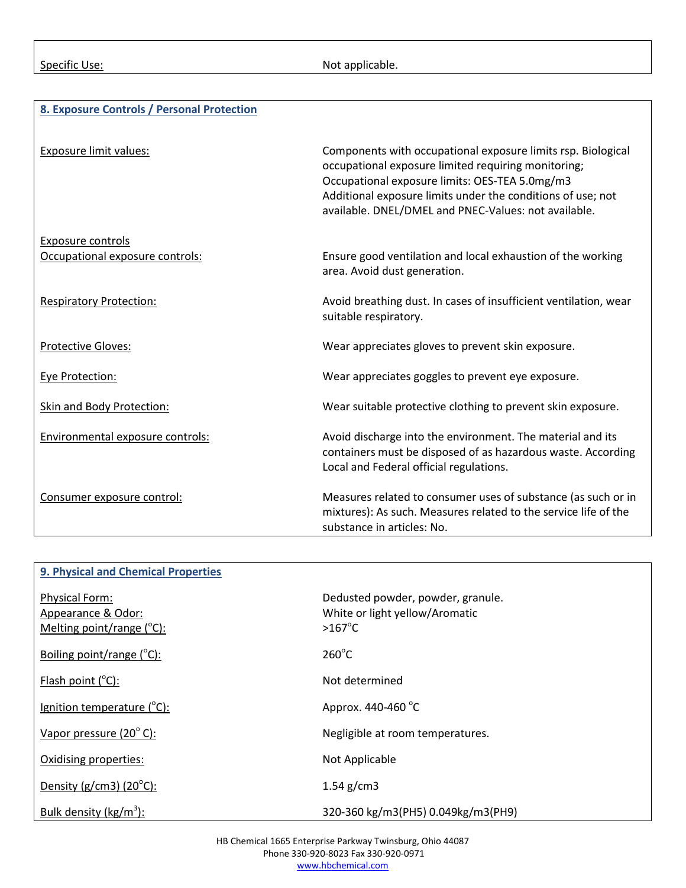#### Specific Use: Not applicable.

#### **8. Exposure Controls / Personal Protection**

| <b>Exposure limit values:</b>    | Components with occupational exposure limits rsp. Biological<br>occupational exposure limited requiring monitoring;<br>Occupational exposure limits: OES-TEA 5.0mg/m3<br>Additional exposure limits under the conditions of use; not<br>available. DNEL/DMEL and PNEC-Values: not available. |
|----------------------------------|----------------------------------------------------------------------------------------------------------------------------------------------------------------------------------------------------------------------------------------------------------------------------------------------|
| <b>Exposure controls</b>         |                                                                                                                                                                                                                                                                                              |
| Occupational exposure controls:  | Ensure good ventilation and local exhaustion of the working<br>area. Avoid dust generation.                                                                                                                                                                                                  |
| <b>Respiratory Protection:</b>   | Avoid breathing dust. In cases of insufficient ventilation, wear<br>suitable respiratory.                                                                                                                                                                                                    |
| Protective Gloves:               | Wear appreciates gloves to prevent skin exposure.                                                                                                                                                                                                                                            |
| Eye Protection:                  | Wear appreciates goggles to prevent eye exposure.                                                                                                                                                                                                                                            |
| <b>Skin and Body Protection:</b> | Wear suitable protective clothing to prevent skin exposure.                                                                                                                                                                                                                                  |
| Environmental exposure controls: | Avoid discharge into the environment. The material and its<br>containers must be disposed of as hazardous waste. According<br>Local and Federal official regulations.                                                                                                                        |
| Consumer exposure control:       | Measures related to consumer uses of substance (as such or in<br>mixtures): As such. Measures related to the service life of the<br>substance in articles: No.                                                                                                                               |

### **9. Physical and Chemical Properties** Physical Form: **Dedusted powder, powder, granule.** Appearance & Odor: Mission Communic Communic Communic Communic Communic Communic Communic Communic Communic Communic Communic Communic Communic Communic Communic Communic Communic Communic Communic Communic Communic Commun Melting point/range  $(^{\circ}C)$ :  $C$ ):  $>167^{\circ}$ C Boiling point/range  $(^{\circ}C)$ :  $\mathsf{C}$ ): 260 $\mathrm{^{\circ}C}$ Flash point  $(^{\circ}C)$ : Not determined Ignition temperature (°C):  $C$ : Approx. 440-460 °C Vapor pressure  $(20^{\circ}$  C): Negligible at room temperatures. Oxidising properties: Not Applicable Density ( $g/cm3$ ) ( $20^{\circ}$ C):  $1.54$  g/cm3 Bulk density (kg/m<sup>3</sup>): ): 320-360 kg/m3(PH5) 0.049kg/m3(PH9)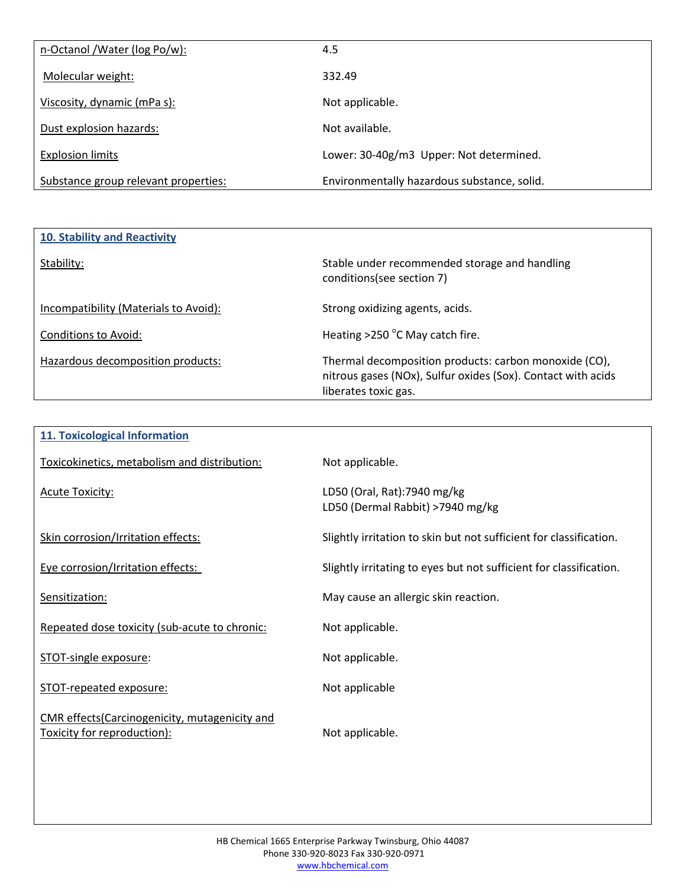| n-Octanol / Water (log Po/w):        | 4.5                                         |
|--------------------------------------|---------------------------------------------|
| Molecular weight:                    | 332.49                                      |
| Viscosity, dynamic (mPa s):          | Not applicable.                             |
| Dust explosion hazards:              | Not available.                              |
| <b>Explosion limits</b>              | Lower: 30-40g/m3 Upper: Not determined.     |
| Substance group relevant properties: | Environmentally hazardous substance, solid. |

| 10. Stability and Reactivity          |                                                                                                                                               |
|---------------------------------------|-----------------------------------------------------------------------------------------------------------------------------------------------|
| Stability:                            | Stable under recommended storage and handling<br>conditions(see section 7)                                                                    |
| Incompatibility (Materials to Avoid): | Strong oxidizing agents, acids.                                                                                                               |
| Conditions to Avoid:                  | Heating $>$ 250 °C May catch fire.                                                                                                            |
| Hazardous decomposition products:     | Thermal decomposition products: carbon monoxide (CO),<br>nitrous gases (NOx), Sulfur oxides (Sox). Contact with acids<br>liberates toxic gas. |

| <b>11. Toxicological Information</b>                                         |                                                                    |
|------------------------------------------------------------------------------|--------------------------------------------------------------------|
| Toxicokinetics, metabolism and distribution:                                 | Not applicable.                                                    |
| <b>Acute Toxicity:</b>                                                       | LD50 (Oral, Rat):7940 mg/kg<br>LD50 (Dermal Rabbit) >7940 mg/kg    |
| Skin corrosion/Irritation effects:                                           | Slightly irritation to skin but not sufficient for classification. |
| Eye corrosion/Irritation effects:                                            | Slightly irritating to eyes but not sufficient for classification. |
| Sensitization:                                                               | May cause an allergic skin reaction.                               |
| Repeated dose toxicity (sub-acute to chronic:                                | Not applicable.                                                    |
| STOT-single exposure:                                                        | Not applicable.                                                    |
| STOT-repeated exposure:                                                      | Not applicable                                                     |
| CMR effects(Carcinogenicity, mutagenicity and<br>Toxicity for reproduction): | Not applicable.                                                    |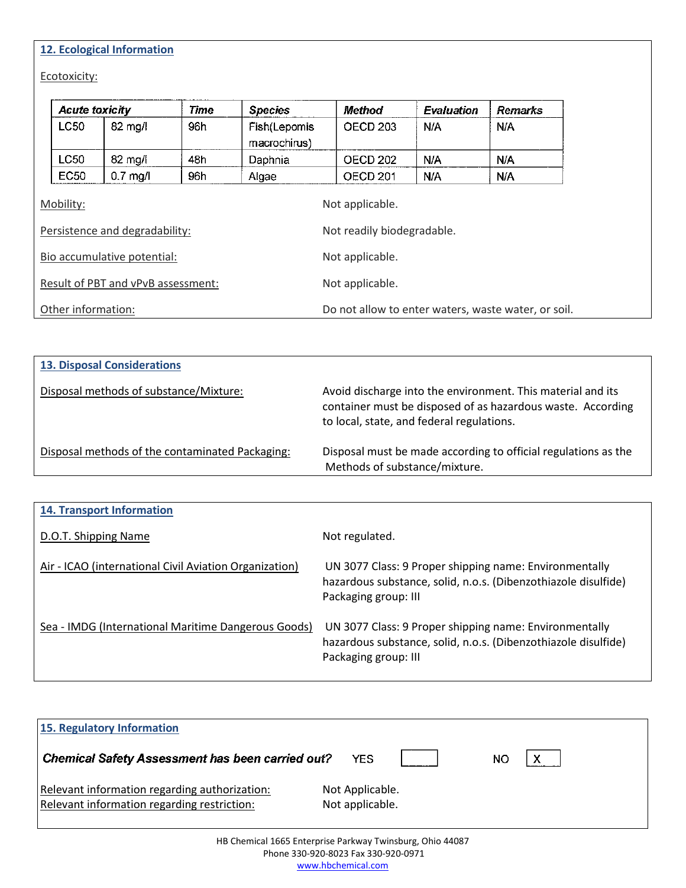# **12. Ecological Information**

Ecotoxicity:

|                                             | <b>Acute toxicity</b> |                   | Time | <b>Species</b>               | Method                                              | <b>Evaluation</b> | Remarks |
|---------------------------------------------|-----------------------|-------------------|------|------------------------------|-----------------------------------------------------|-------------------|---------|
|                                             | <b>LC50</b>           | $82 \text{ mg/l}$ | 96h  | Fish(Lepomis<br>macrochirus) | OECD <sub>203</sub>                                 | N/A               | N/A     |
|                                             | LC50                  | 82 mg/l           | 48h  | Daphnia                      | <b>OECD 202</b>                                     | N/A               | N/A     |
|                                             | <b>EC50</b>           | $0.7$ mg/l        | 96h  | Algae                        | OECD <sub>201</sub>                                 | N/A               | N/A     |
| Mobility:<br>Persistence and degradability: |                       |                   |      |                              | Not applicable.<br>Not readily biodegradable.       |                   |         |
| Bio accumulative potential:                 |                       |                   |      |                              | Not applicable.                                     |                   |         |
| Result of PBT and vPvB assessment:          |                       |                   |      | Not applicable.              |                                                     |                   |         |
| Other information:                          |                       |                   |      |                              | Do not allow to enter waters, waste water, or soil. |                   |         |

| <b>13. Disposal Considerations</b>              |                                                                                                                                                                         |  |  |  |
|-------------------------------------------------|-------------------------------------------------------------------------------------------------------------------------------------------------------------------------|--|--|--|
| Disposal methods of substance/Mixture:          | Avoid discharge into the environment. This material and its<br>container must be disposed of as hazardous waste. According<br>to local, state, and federal regulations. |  |  |  |
| Disposal methods of the contaminated Packaging: | Disposal must be made according to official regulations as the<br>Methods of substance/mixture.                                                                         |  |  |  |

| <b>14. Transport Information</b>                       |                                                                                                                                                  |  |  |
|--------------------------------------------------------|--------------------------------------------------------------------------------------------------------------------------------------------------|--|--|
| D.O.T. Shipping Name                                   | Not regulated.                                                                                                                                   |  |  |
| Air - ICAO (international Civil Aviation Organization) | UN 3077 Class: 9 Proper shipping name: Environmentally<br>hazardous substance, solid, n.o.s. (Dibenzothiazole disulfide)<br>Packaging group: III |  |  |
| Sea - IMDG (International Maritime Dangerous Goods)    | UN 3077 Class: 9 Proper shipping name: Environmentally<br>hazardous substance, solid, n.o.s. (Dibenzothiazole disulfide)<br>Packaging group: III |  |  |

| 15. Regulatory Information                                                                   |                                    |    |  |  |
|----------------------------------------------------------------------------------------------|------------------------------------|----|--|--|
| <b>Chemical Safety Assessment has been carried out?</b>                                      | YES                                | ΝO |  |  |
| Relevant information regarding authorization:<br>Relevant information regarding restriction: | Not Applicable.<br>Not applicable. |    |  |  |